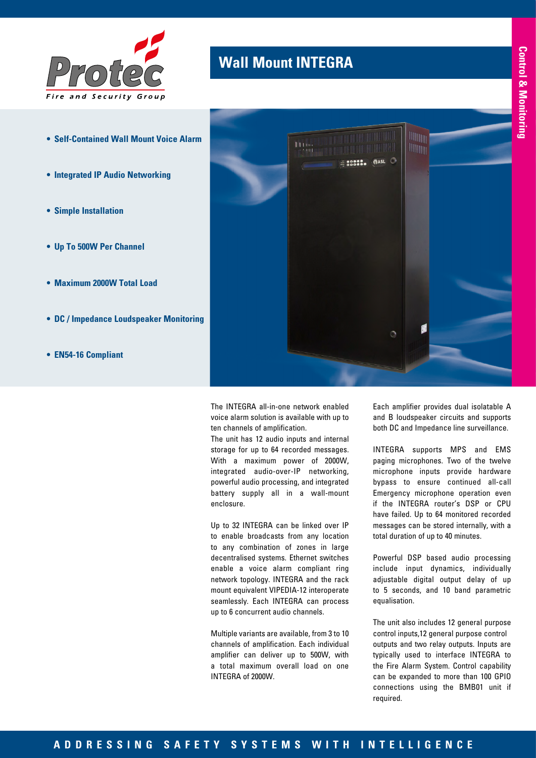

- **• Self-Contained Wall Mount Voice Alarm**
- **• Integrated IP Audio Networking**
- **• Simple Installation**
- **• Up To 500W Per Channel**
- **• Maximum 2000W Total Load**
- **• DC / Impedance Loudspeaker Monitoring**
- **• EN54-16 Compliant**

## **Wall Mount INTEGRA**



The INTEGRA all-in-one network enabled voice alarm solution is available with up to ten channels of amplification.

The unit has 12 audio inputs and internal storage for up to 64 recorded messages. With a maximum power of 2000W, integrated audio-over-IP networking, powerful audio processing, and integrated battery supply all in a wall-mount enclosure.

Up to 32 INTEGRA can be linked over IP to enable broadcasts from any location to any combination of zones in large decentralised systems. Ethernet switches enable a voice alarm compliant ring network topology. INTEGRA and the rack mount equivalent VIPEDIA-12 interoperate seamlessly. Each INTEGRA can process up to 6 concurrent audio channels.

Multiple variants are available, from 3 to 10 channels of amplification. Each individual amplifier can deliver up to 500W, with a total maximum overall load on one INTEGRA of 2000W.

Each amplifier provides dual isolatable A and B loudspeaker circuits and supports both DC and Impedance line surveillance.

INTEGRA supports MPS and EMS paging microphones. Two of the twelve microphone inputs provide hardware bypass to ensure continued all-call Emergency microphone operation even if the INTEGRA router's DSP or CPU have failed. Up to 64 monitored recorded messages can be stored internally, with a total duration of up to 40 minutes.

Powerful DSP based audio processing include input dynamics, individually adjustable digital output delay of up to 5 seconds, and 10 band parametric equalisation.

The unit also includes 12 general purpose control inputs,12 general purpose control outputs and two relay outputs. Inputs are typically used to interface INTEGRA to the Fire Alarm System. Control capability can be expanded to more than 100 GPIO connections using the BMB01 unit if required.